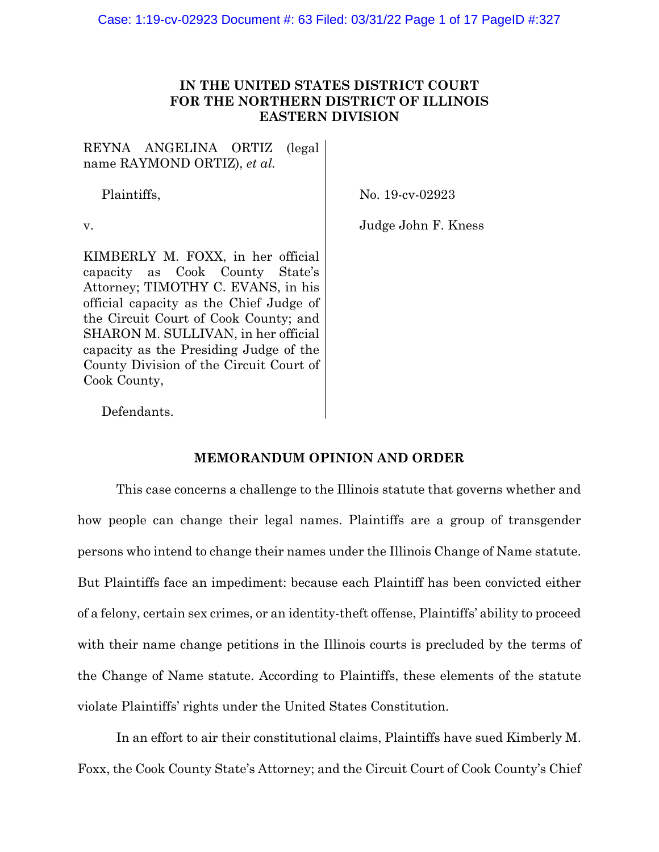# **IN THE UNITED STATES DISTRICT COURT FOR THE NORTHERN DISTRICT OF ILLINOIS EASTERN DIVISION**

REYNA ANGELINA ORTIZ (legal name RAYMOND ORTIZ), *et al.* 

Plaintiffs,

No. 19-cv-02923

v.

Judge John F. Kness

KIMBERLY M. FOXX, in her official capacity as Cook County State's Attorney; TIMOTHY C. EVANS, in his official capacity as the Chief Judge of the Circuit Court of Cook County; and SHARON M. SULLIVAN, in her official capacity as the Presiding Judge of the County Division of the Circuit Court of Cook County,

Defendants.

# **MEMORANDUM OPINION AND ORDER**

This case concerns a challenge to the Illinois statute that governs whether and how people can change their legal names. Plaintiffs are a group of transgender persons who intend to change their names under the Illinois Change of Name statute. But Plaintiffs face an impediment: because each Plaintiff has been convicted either of a felony, certain sex crimes, or an identity-theft offense, Plaintiffs' ability to proceed with their name change petitions in the Illinois courts is precluded by the terms of the Change of Name statute. According to Plaintiffs, these elements of the statute violate Plaintiffs' rights under the United States Constitution.

In an effort to air their constitutional claims, Plaintiffs have sued Kimberly M. Foxx, the Cook County State's Attorney; and the Circuit Court of Cook County's Chief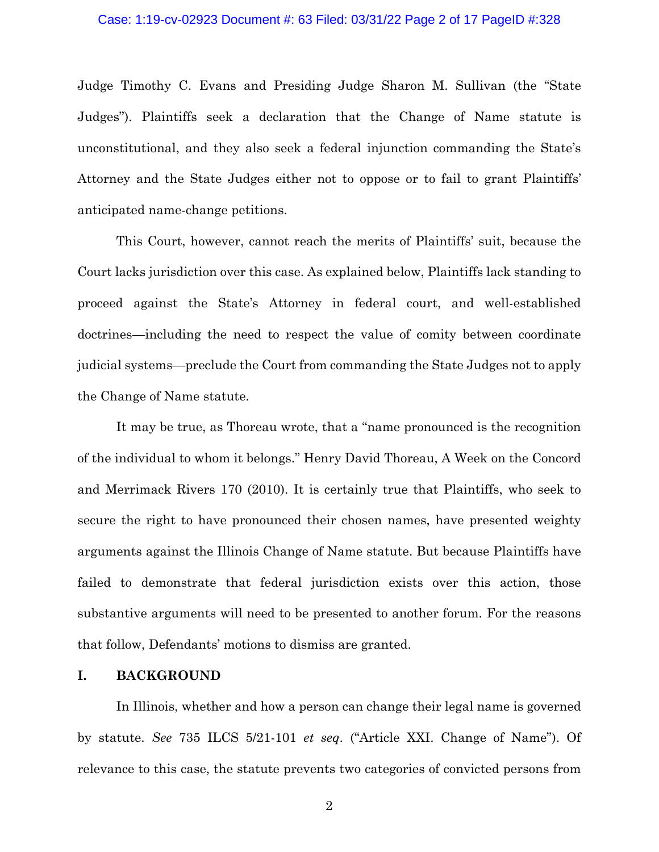# Case: 1:19-cv-02923 Document #: 63 Filed: 03/31/22 Page 2 of 17 PageID #:328

Judge Timothy C. Evans and Presiding Judge Sharon M. Sullivan (the "State Judges"). Plaintiffs seek a declaration that the Change of Name statute is unconstitutional, and they also seek a federal injunction commanding the State's Attorney and the State Judges either not to oppose or to fail to grant Plaintiffs' anticipated name-change petitions.

This Court, however, cannot reach the merits of Plaintiffs' suit, because the Court lacks jurisdiction over this case. As explained below, Plaintiffs lack standing to proceed against the State's Attorney in federal court, and well-established doctrines—including the need to respect the value of comity between coordinate judicial systems—preclude the Court from commanding the State Judges not to apply the Change of Name statute.

It may be true, as Thoreau wrote, that a "name pronounced is the recognition of the individual to whom it belongs." Henry David Thoreau, A Week on the Concord and Merrimack Rivers 170 (2010). It is certainly true that Plaintiffs, who seek to secure the right to have pronounced their chosen names, have presented weighty arguments against the Illinois Change of Name statute. But because Plaintiffs have failed to demonstrate that federal jurisdiction exists over this action, those substantive arguments will need to be presented to another forum. For the reasons that follow, Defendants' motions to dismiss are granted.

# **I. BACKGROUND**

In Illinois, whether and how a person can change their legal name is governed by statute. *See* 735 ILCS 5/21-101 *et seq*. ("Article XXI. Change of Name"). Of relevance to this case, the statute prevents two categories of convicted persons from

2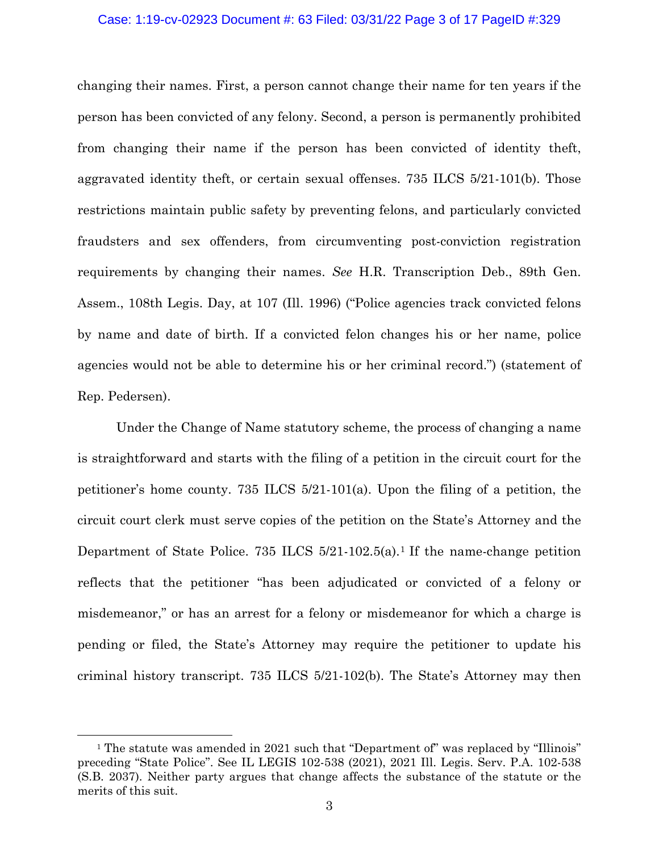### Case: 1:19-cv-02923 Document #: 63 Filed: 03/31/22 Page 3 of 17 PageID #:329

changing their names. First, a person cannot change their name for ten years if the person has been convicted of any felony. Second, a person is permanently prohibited from changing their name if the person has been convicted of identity theft, aggravated identity theft, or certain sexual offenses. 735 ILCS 5/21-101(b). Those restrictions maintain public safety by preventing felons, and particularly convicted fraudsters and sex offenders, from circumventing post-conviction registration requirements by changing their names. *See* H.R. Transcription Deb., 89th Gen. Assem., 108th Legis. Day, at 107 (Ill. 1996) ("Police agencies track convicted felons by name and date of birth. If a convicted felon changes his or her name, police agencies would not be able to determine his or her criminal record.") (statement of Rep. Pedersen).

Under the Change of Name statutory scheme, the process of changing a name is straightforward and starts with the filing of a petition in the circuit court for the petitioner's home county. 735 ILCS 5/21-101(a). Upon the filing of a petition, the circuit court clerk must serve copies of the petition on the State's Attorney and the Department of State Police. 735 ILCS  $5/21$ -102.5(a).<sup>1</sup> If the name-change petition reflects that the petitioner "has been adjudicated or convicted of a felony or misdemeanor," or has an arrest for a felony or misdemeanor for which a charge is pending or filed, the State's Attorney may require the petitioner to update his criminal history transcript. 735 ILCS 5/21-102(b). The State's Attorney may then

<sup>&</sup>lt;sup>1</sup> The statute was amended in 2021 such that "Department of" was replaced by "Illinois" preceding "State Police". See IL LEGIS 102-538 (2021), 2021 Ill. Legis. Serv. P.A. 102-538 (S.B. 2037). Neither party argues that change affects the substance of the statute or the merits of this suit.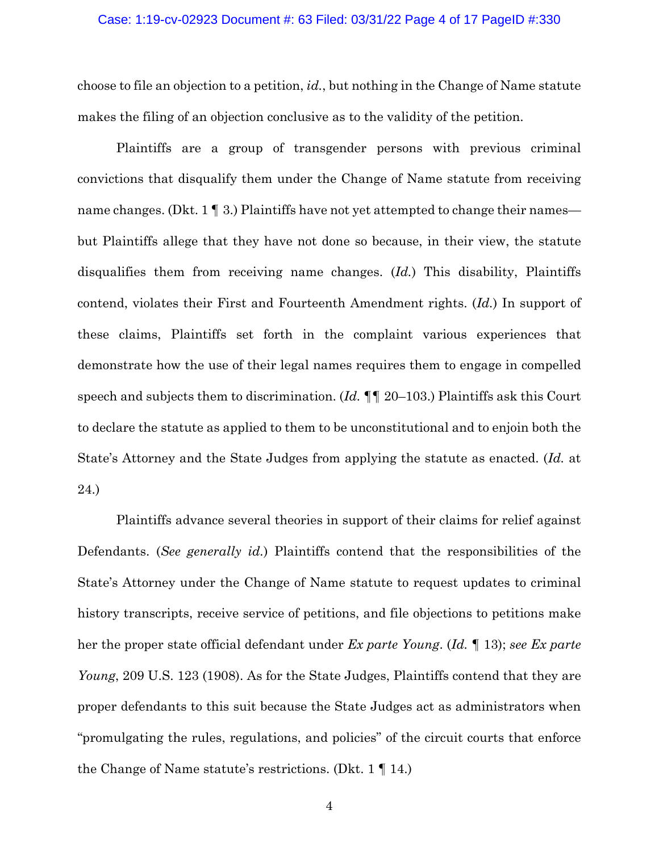choose to file an objection to a petition, *id.*, but nothing in the Change of Name statute makes the filing of an objection conclusive as to the validity of the petition.

Plaintiffs are a group of transgender persons with previous criminal convictions that disqualify them under the Change of Name statute from receiving name changes. (Dkt. 1  $\P$  3.) Plaintiffs have not yet attempted to change their names but Plaintiffs allege that they have not done so because, in their view, the statute disqualifies them from receiving name changes. (*Id.*) This disability, Plaintiffs contend, violates their First and Fourteenth Amendment rights. (*Id.*) In support of these claims, Plaintiffs set forth in the complaint various experiences that demonstrate how the use of their legal names requires them to engage in compelled speech and subjects them to discrimination. (*Id. ¶¶* 20–103.) Plaintiffs ask this Court to declare the statute as applied to them to be unconstitutional and to enjoin both the State's Attorney and the State Judges from applying the statute as enacted. (*Id.* at 24.)

Plaintiffs advance several theories in support of their claims for relief against Defendants. (*See generally id.*) Plaintiffs contend that the responsibilities of the State's Attorney under the Change of Name statute to request updates to criminal history transcripts, receive service of petitions, and file objections to petitions make her the proper state official defendant under *Ex parte Young*. (*Id. ¶* 13); *see Ex parte Young*, 209 U.S. 123 (1908). As for the State Judges, Plaintiffs contend that they are proper defendants to this suit because the State Judges act as administrators when "promulgating the rules, regulations, and policies" of the circuit courts that enforce the Change of Name statute's restrictions. (Dkt. 1 ¶ 14.)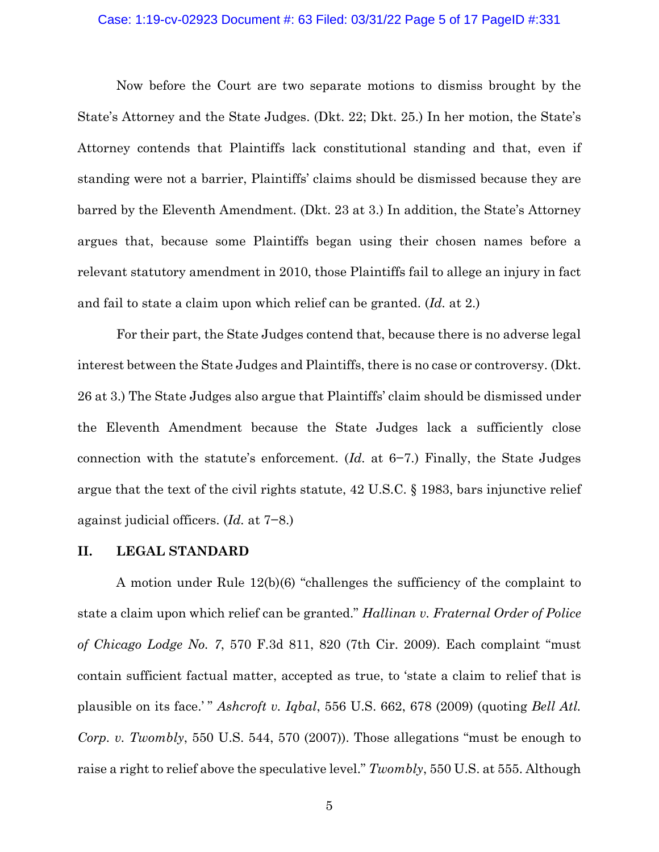#### Case: 1:19-cv-02923 Document #: 63 Filed: 03/31/22 Page 5 of 17 PageID #:331

Now before the Court are two separate motions to dismiss brought by the State's Attorney and the State Judges. (Dkt. 22; Dkt. 25.) In her motion, the State's Attorney contends that Plaintiffs lack constitutional standing and that, even if standing were not a barrier, Plaintiffs' claims should be dismissed because they are barred by the Eleventh Amendment. (Dkt. 23 at 3.) In addition, the State's Attorney argues that, because some Plaintiffs began using their chosen names before a relevant statutory amendment in 2010, those Plaintiffs fail to allege an injury in fact and fail to state a claim upon which relief can be granted. (*Id.* at 2.)

For their part, the State Judges contend that, because there is no adverse legal interest between the State Judges and Plaintiffs, there is no case or controversy. (Dkt. 26 at 3.) The State Judges also argue that Plaintiffs' claim should be dismissed under the Eleventh Amendment because the State Judges lack a sufficiently close connection with the statute's enforcement. (*Id.* at 6−7.) Finally, the State Judges argue that the text of the civil rights statute, 42 U.S.C. § 1983, bars injunctive relief against judicial officers. (*Id.* at 7−8.)

## **II. LEGAL STANDARD**

A motion under Rule 12(b)(6) "challenges the sufficiency of the complaint to state a claim upon which relief can be granted." *Hallinan v. Fraternal Order of Police of Chicago Lodge No. 7*, 570 F.3d 811, 820 (7th Cir. 2009). Each complaint "must contain sufficient factual matter, accepted as true, to 'state a claim to relief that is plausible on its face.' " *Ashcroft v. Iqbal*, 556 U.S. 662, 678 (2009) (quoting *Bell Atl. Corp. v. Twombly*, 550 U.S. 544, 570 (2007)). Those allegations "must be enough to raise a right to relief above the speculative level." *Twombly*, 550 U.S. at 555. Although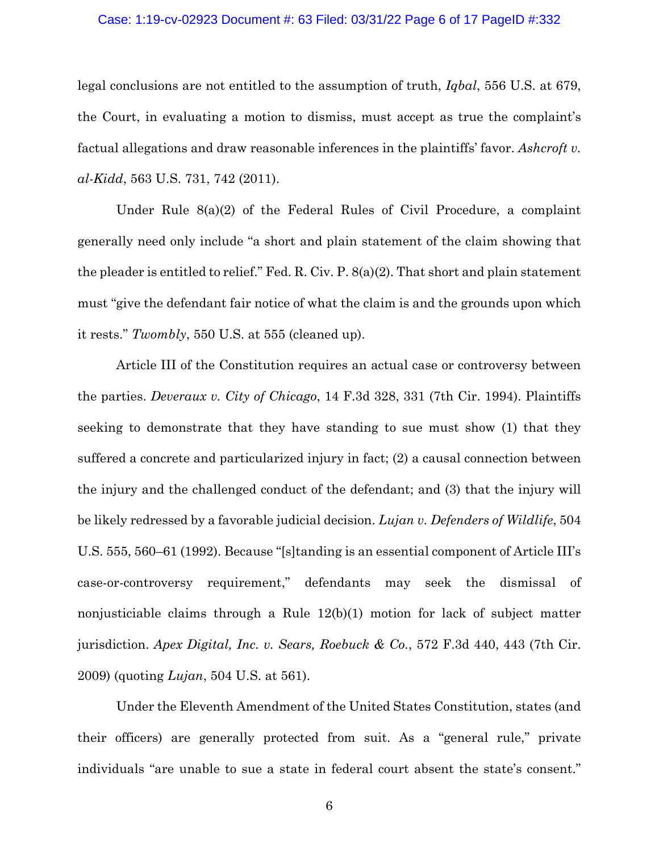#### Case: 1:19-cv-02923 Document #: 63 Filed: 03/31/22 Page 6 of 17 PageID #:332

legal conclusions are not entitled to the assumption of truth, *Iqbal*, 556 U.S. at 679, the Court, in evaluating a motion to dismiss, must accept as true the complaint's factual allegations and draw reasonable inferences in the plaintiffs' favor. *Ashcroft v. al-Kidd*, 563 U.S. 731, 742 (2011).

Under Rule 8(a)(2) of the Federal Rules of Civil Procedure, a complaint generally need only include "a short and plain statement of the claim showing that the pleader is entitled to relief." Fed. R. Civ. P.  $8(a)(2)$ . That short and plain statement must "give the defendant fair notice of what the claim is and the grounds upon which it rests." *Twombly*, 550 U.S. at 555 (cleaned up).

Article III of the Constitution requires an actual case or controversy between the parties. *Deveraux v. City of Chicago*, 14 F.3d 328, 331 (7th Cir. 1994). Plaintiffs seeking to demonstrate that they have standing to sue must show (1) that they suffered a concrete and particularized injury in fact; (2) a causal connection between the injury and the challenged conduct of the defendant; and (3) that the injury will be likely redressed by a favorable judicial decision. *Lujan v. Defenders of Wildlife*, 504 U.S. 555, 560–61 (1992). Because "[s]tanding is an essential component of Article III's case-or-controversy requirement," defendants may seek the dismissal of nonjusticiable claims through a Rule 12(b)(1) motion for lack of subject matter jurisdiction. *Apex Digital, Inc. v. Sears, Roebuck & Co.*, 572 F.3d 440, 443 (7th Cir. 2009) (quoting *Lujan*, 504 U.S. at 561).

Under the Eleventh Amendment of the United States Constitution, states (and their officers) are generally protected from suit. As a "general rule," private individuals "are unable to sue a state in federal court absent the state's consent."

6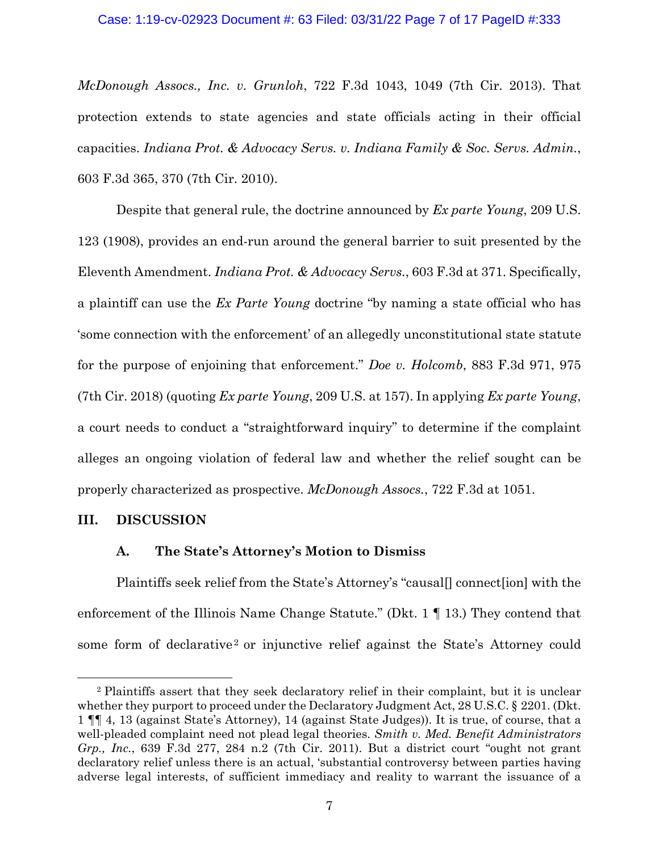# Case: 1:19-cv-02923 Document #: 63 Filed: 03/31/22 Page 7 of 17 PageID #:333

*McDonough Assocs., Inc. v. Grunloh*, 722 F.3d 1043, 1049 (7th Cir. 2013). That protection extends to state agencies and state officials acting in their official capacities. *Indiana Prot. & Advocacy Servs. v. Indiana Family & Soc. Servs. Admin.*, 603 F.3d 365, 370 (7th Cir. 2010).

Despite that general rule, the doctrine announced by *Ex parte Young*, 209 U.S. 123 (1908), provides an end-run around the general barrier to suit presented by the Eleventh Amendment. *Indiana Prot. & Advocacy Servs.*, 603 F.3d at 371. Specifically, a plaintiff can use the *Ex Parte Young* doctrine "by naming a state official who has 'some connection with the enforcement' of an allegedly unconstitutional state statute for the purpose of enjoining that enforcement." *Doe v. Holcomb*, 883 F.3d 971, 975 (7th Cir. 2018) (quoting *Ex parte Young*, 209 U.S. at 157). In applying *Ex parte Young*, a court needs to conduct a "straightforward inquiry" to determine if the complaint alleges an ongoing violation of federal law and whether the relief sought can be properly characterized as prospective. *McDonough Assocs.*, 722 F.3d at 1051.

#### **III. DISCUSSION**

### **A. The State's Attorney's Motion to Dismiss**

Plaintiffs seek relief from the State's Attorney's "causal[] connect[ion] with the enforcement of the Illinois Name Change Statute." (Dkt. 1 ¶ 13.) They contend that some form of declarative<sup>2</sup> or injunctive relief against the State's Attorney could

<sup>2</sup> Plaintiffs assert that they seek declaratory relief in their complaint, but it is unclear whether they purport to proceed under the Declaratory Judgment Act, 28 U.S.C. § 2201. (Dkt.) 1 ¶¶ 4, 13 (against State's Attorney), 14 (against State Judges)). It is true, of course, that a well-pleaded complaint need not plead legal theories. *Smith v. Med. Benefit Administrators Grp., Inc.*, 639 F.3d 277, 284 n.2 (7th Cir. 2011). But a district court "ought not grant declaratory relief unless there is an actual, 'substantial controversy between parties having adverse legal interests, of sufficient immediacy and reality to warrant the issuance of a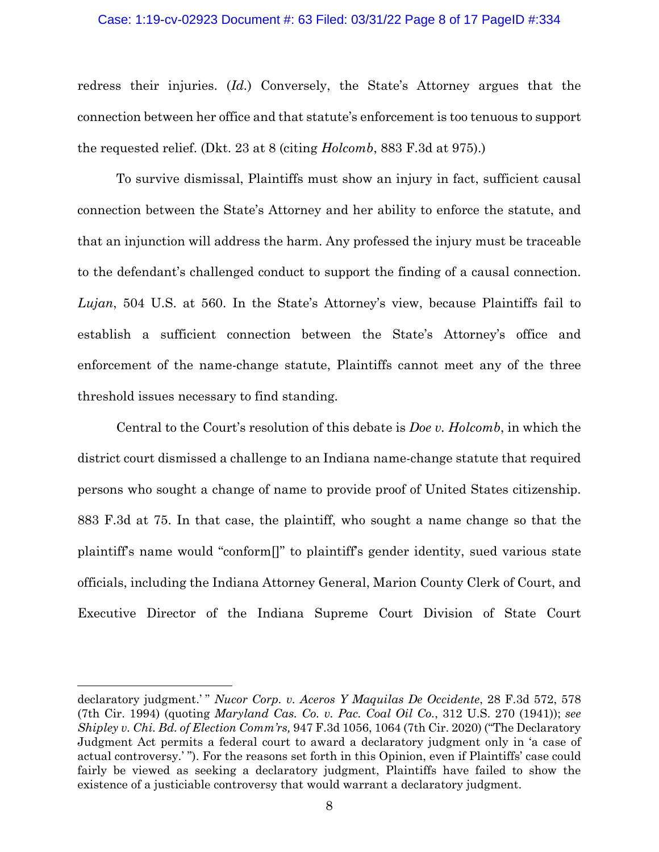#### Case: 1:19-cv-02923 Document #: 63 Filed: 03/31/22 Page 8 of 17 PageID #:334

redress their injuries. (*Id.*) Conversely, the State's Attorney argues that the connection between her office and that statute's enforcement is too tenuous to support the requested relief. (Dkt. 23 at 8 (citing *Holcomb*, 883 F.3d at 975).)

To survive dismissal, Plaintiffs must show an injury in fact, sufficient causal connection between the State's Attorney and her ability to enforce the statute, and that an injunction will address the harm. Any professed the injury must be traceable to the defendant's challenged conduct to support the finding of a causal connection. *Lujan*, 504 U.S. at 560. In the State's Attorney's view, because Plaintiffs fail to establish a sufficient connection between the State's Attorney's office and enforcement of the name-change statute, Plaintiffs cannot meet any of the three threshold issues necessary to find standing.

Central to the Court's resolution of this debate is *Doe v. Holcomb*, in which the district court dismissed a challenge to an Indiana name-change statute that required persons who sought a change of name to provide proof of United States citizenship. 883 F.3d at 75. In that case, the plaintiff, who sought a name change so that the plaintiff's name would "conform[]" to plaintiff's gender identity, sued various state officials, including the Indiana Attorney General, Marion County Clerk of Court, and Executive Director of the Indiana Supreme Court Division of State Court

declaratory judgment.'" *Nucor Corp. v. Aceros Y Maquilas De Occidente*, 28 F.3d 572, 578 (7th Cir. 1994) (quoting *Maryland Cas. Co. v. Pac. Coal Oil Co.*, 312 U.S. 270 (1941)); *see Shipley v. Chi. Bd. of Election Comm'rs,* 947 F.3d 1056, 1064 (7th Cir. 2020) ("The Declaratory Judgment Act permits a federal court to award a declaratory judgment only in 'a case of actual controversy.' "). For the reasons set forth in this Opinion, even if Plaintiffs' case could fairly be viewed as seeking a declaratory judgment, Plaintiffs have failed to show the existence of a justiciable controversy that would warrant a declaratory judgment.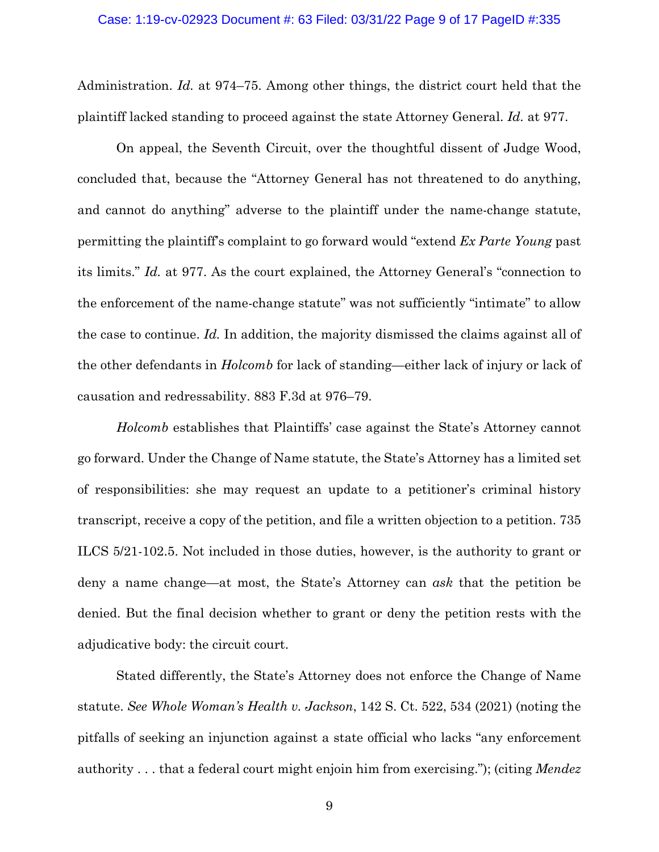Administration. *Id.* at 974–75. Among other things, the district court held that the plaintiff lacked standing to proceed against the state Attorney General. *Id.* at 977.

On appeal, the Seventh Circuit, over the thoughtful dissent of Judge Wood, concluded that, because the "Attorney General has not threatened to do anything, and cannot do anything" adverse to the plaintiff under the name-change statute, permitting the plaintiff's complaint to go forward would "extend *Ex Parte Young* past its limits." *Id.* at 977. As the court explained, the Attorney General's "connection to the enforcement of the name-change statute" was not sufficiently "intimate" to allow the case to continue. *Id.* In addition, the majority dismissed the claims against all of the other defendants in *Holcomb* for lack of standing—either lack of injury or lack of causation and redressability. 883 F.3d at 976–79.

*Holcomb* establishes that Plaintiffs' case against the State's Attorney cannot go forward. Under the Change of Name statute, the State's Attorney has a limited set of responsibilities: she may request an update to a petitioner's criminal history transcript, receive a copy of the petition, and file a written objection to a petition. 735 ILCS 5/21-102.5. Not included in those duties, however, is the authority to grant or deny a name change—at most, the State's Attorney can *ask* that the petition be denied. But the final decision whether to grant or deny the petition rests with the adjudicative body: the circuit court.

Stated differently, the State's Attorney does not enforce the Change of Name statute. *See Whole Woman's Health v. Jackson*, 142 S. Ct. 522, 534 (2021) (noting the pitfalls of seeking an injunction against a state official who lacks "any enforcement authority . . . that a federal court might enjoin him from exercising."); (citing *Mendez*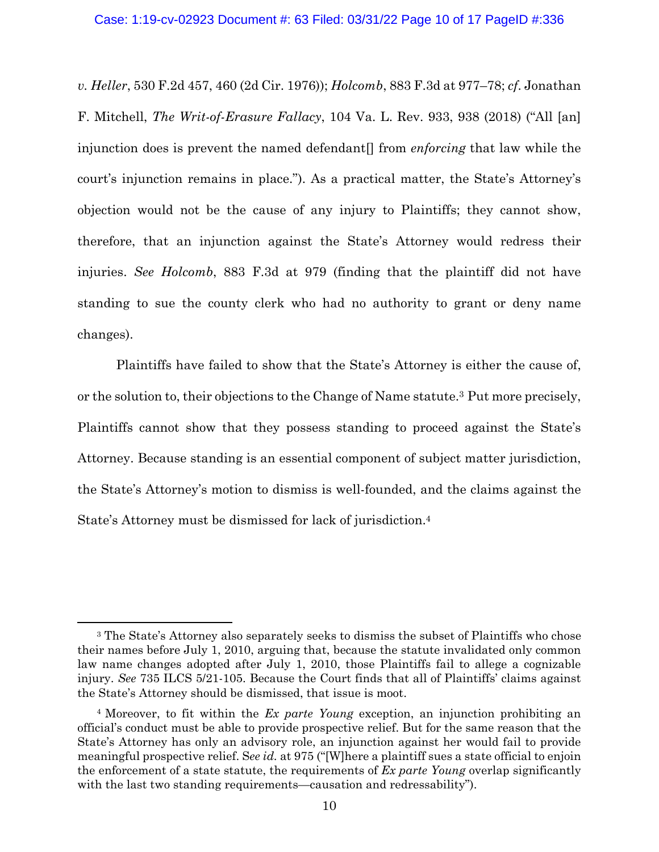*v. Heller*, 530 F.2d 457, 460 (2d Cir. 1976)); *Holcomb*, 883 F.3d at 977–78; *cf*. Jonathan F. Mitchell, *The Writ-of-Erasure Fallacy*, 104 Va. L. Rev. 933, 938 (2018) ("All [an] injunction does is prevent the named defendant[] from *enforcing* that law while the court's injunction remains in place."). As a practical matter, the State's Attorney's objection would not be the cause of any injury to Plaintiffs; they cannot show, therefore, that an injunction against the State's Attorney would redress their injuries. *See Holcomb*, 883 F.3d at 979 (finding that the plaintiff did not have standing to sue the county clerk who had no authority to grant or deny name changes).

Plaintiffs have failed to show that the State's Attorney is either the cause of, or the solution to, their objections to the Change of Name statute.3 Put more precisely, Plaintiffs cannot show that they possess standing to proceed against the State's Attorney. Because standing is an essential component of subject matter jurisdiction, the State's Attorney's motion to dismiss is well-founded, and the claims against the State's Attorney must be dismissed for lack of jurisdiction.4

<sup>3</sup> The State's Attorney also separately seeks to dismiss the subset of Plaintiffs who chose their names before July 1, 2010, arguing that, because the statute invalidated only common law name changes adopted after July 1, 2010, those Plaintiffs fail to allege a cognizable injury. *See* 735 ILCS 5/21-105. Because the Court finds that all of Plaintiffs' claims against the State's Attorney should be dismissed, that issue is moot.

<sup>4</sup> Moreover, to fit within the *Ex parte Young* exception, an injunction prohibiting an official's conduct must be able to provide prospective relief. But for the same reason that the State's Attorney has only an advisory role, an injunction against her would fail to provide meaningful prospective relief. S*ee id.* at 975 ("[W]here a plaintiff sues a state official to enjoin the enforcement of a state statute, the requirements of *Ex parte Young* overlap significantly with the last two standing requirements—causation and redressability".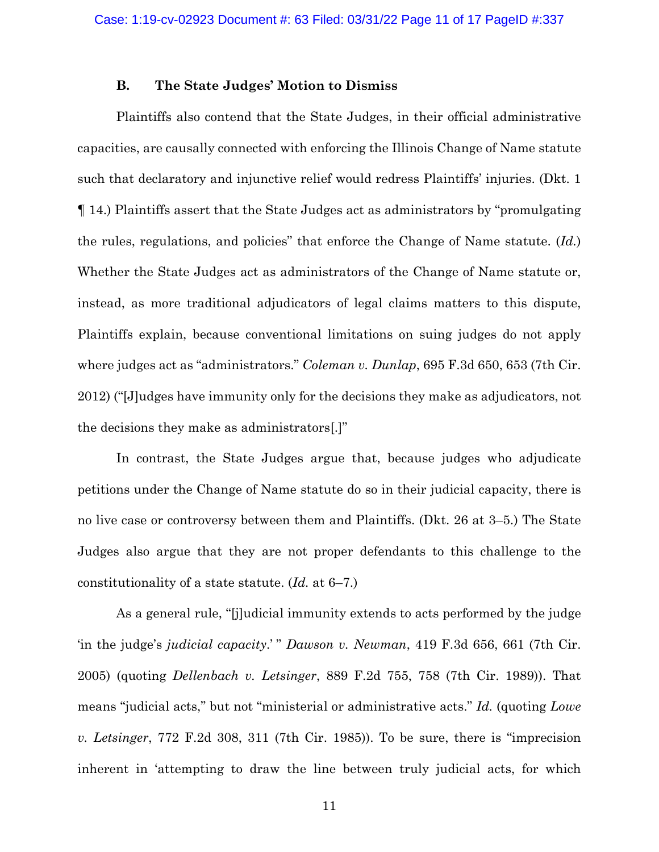### **B. The State Judges' Motion to Dismiss**

Plaintiffs also contend that the State Judges, in their official administrative capacities, are causally connected with enforcing the Illinois Change of Name statute such that declaratory and injunctive relief would redress Plaintiffs' injuries. (Dkt. 1 ¶ 14.) Plaintiffs assert that the State Judges act as administrators by "promulgating the rules, regulations, and policies" that enforce the Change of Name statute. (*Id.*) Whether the State Judges act as administrators of the Change of Name statute or, instead, as more traditional adjudicators of legal claims matters to this dispute, Plaintiffs explain, because conventional limitations on suing judges do not apply where judges act as "administrators." *Coleman v. Dunlap*, 695 F.3d 650, 653 (7th Cir. 2012) ("[J]udges have immunity only for the decisions they make as adjudicators, not the decisions they make as administrators[.]"

In contrast, the State Judges argue that, because judges who adjudicate petitions under the Change of Name statute do so in their judicial capacity, there is no live case or controversy between them and Plaintiffs. (Dkt. 26 at 3–5.) The State Judges also argue that they are not proper defendants to this challenge to the constitutionality of a state statute. (*Id.* at 6–7.)

As a general rule, "[j]udicial immunity extends to acts performed by the judge 'in the judge's *judicial capacity*.'" *Dawson v. Newman*, 419 F.3d 656, 661 (7th Cir. 2005) (quoting *Dellenbach v. Letsinger*, 889 F.2d 755, 758 (7th Cir. 1989)). That means "judicial acts," but not "ministerial or administrative acts." *Id.* (quoting *Lowe v. Letsinger*, 772 F.2d 308, 311 (7th Cir. 1985)). To be sure, there is "imprecision inherent in 'attempting to draw the line between truly judicial acts, for which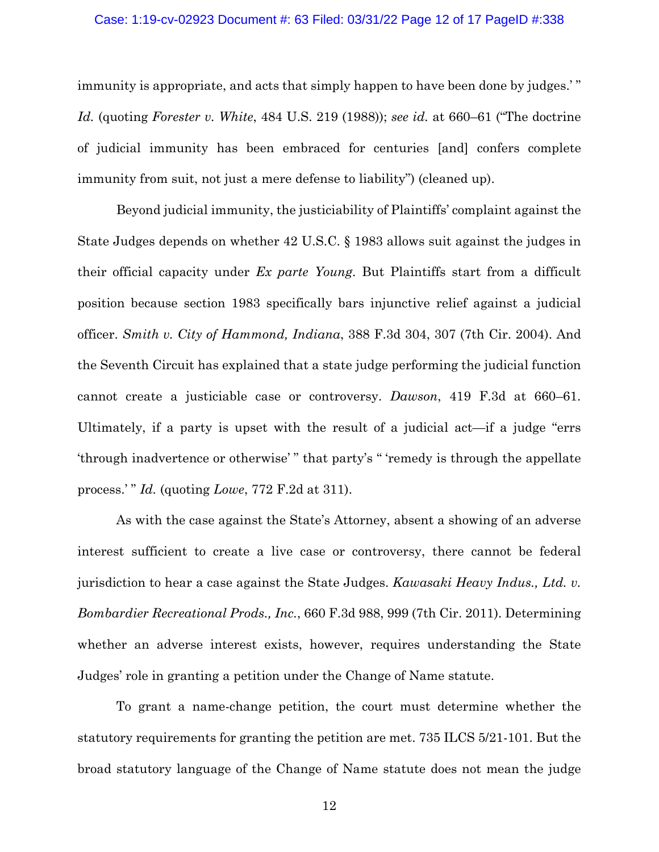#### Case: 1:19-cv-02923 Document #: 63 Filed: 03/31/22 Page 12 of 17 PageID #:338

immunity is appropriate, and acts that simply happen to have been done by judges.'" *Id.* (quoting *Forester v. White*, 484 U.S. 219 (1988)); *see id.* at 660–61 ("The doctrine of judicial immunity has been embraced for centuries [and] confers complete immunity from suit, not just a mere defense to liability") (cleaned up).

Beyond judicial immunity, the justiciability of Plaintiffs' complaint against the State Judges depends on whether 42 U.S.C. § 1983 allows suit against the judges in their official capacity under *Ex parte Young*. But Plaintiffs start from a difficult position because section 1983 specifically bars injunctive relief against a judicial officer. *Smith v. City of Hammond, Indiana*, 388 F.3d 304, 307 (7th Cir. 2004). And the Seventh Circuit has explained that a state judge performing the judicial function cannot create a justiciable case or controversy. *Dawson*, 419 F.3d at 660–61. Ultimately, if a party is upset with the result of a judicial act—if a judge "errs 'through inadvertence or otherwise' " that party's " 'remedy is through the appellate process.' " *Id.* (quoting *Lowe*, 772 F.2d at 311).

As with the case against the State's Attorney, absent a showing of an adverse interest sufficient to create a live case or controversy, there cannot be federal jurisdiction to hear a case against the State Judges. *Kawasaki Heavy Indus., Ltd. v. Bombardier Recreational Prods., Inc.*, 660 F.3d 988, 999 (7th Cir. 2011). Determining whether an adverse interest exists, however, requires understanding the State Judges' role in granting a petition under the Change of Name statute.

To grant a name-change petition, the court must determine whether the statutory requirements for granting the petition are met. 735 ILCS 5/21-101. But the broad statutory language of the Change of Name statute does not mean the judge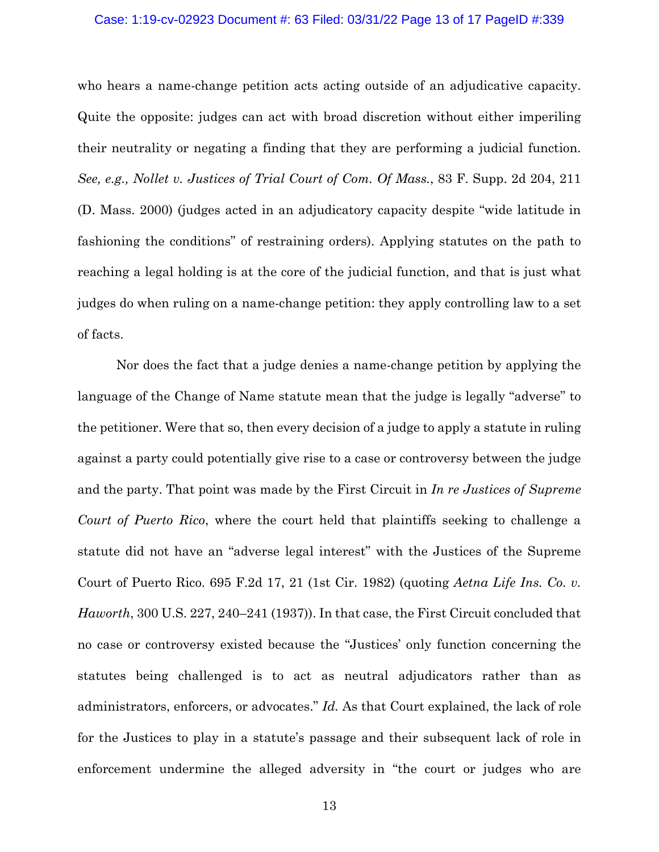### Case: 1:19-cv-02923 Document #: 63 Filed: 03/31/22 Page 13 of 17 PageID #:339

who hears a name-change petition acts acting outside of an adjudicative capacity. Quite the opposite: judges can act with broad discretion without either imperiling their neutrality or negating a finding that they are performing a judicial function. *See, e.g., Nollet v. Justices of Trial Court of Com. Of Mass.*, 83 F. Supp. 2d 204, 211 (D. Mass. 2000) (judges acted in an adjudicatory capacity despite "wide latitude in fashioning the conditions" of restraining orders). Applying statutes on the path to reaching a legal holding is at the core of the judicial function, and that is just what judges do when ruling on a name-change petition: they apply controlling law to a set of facts.

Nor does the fact that a judge denies a name-change petition by applying the language of the Change of Name statute mean that the judge is legally "adverse" to the petitioner. Were that so, then every decision of a judge to apply a statute in ruling against a party could potentially give rise to a case or controversy between the judge and the party. That point was made by the First Circuit in *In re Justices of Supreme Court of Puerto Rico*, where the court held that plaintiffs seeking to challenge a statute did not have an "adverse legal interest" with the Justices of the Supreme Court of Puerto Rico. 695 F.2d 17, 21 (1st Cir. 1982) (quoting *Aetna Life Ins. Co. v. Haworth*, 300 U.S. 227, 240–241 (1937)). In that case, the First Circuit concluded that no case or controversy existed because the "Justices' only function concerning the statutes being challenged is to act as neutral adjudicators rather than as administrators, enforcers, or advocates." *Id.* As that Court explained, the lack of role for the Justices to play in a statute's passage and their subsequent lack of role in enforcement undermine the alleged adversity in "the court or judges who are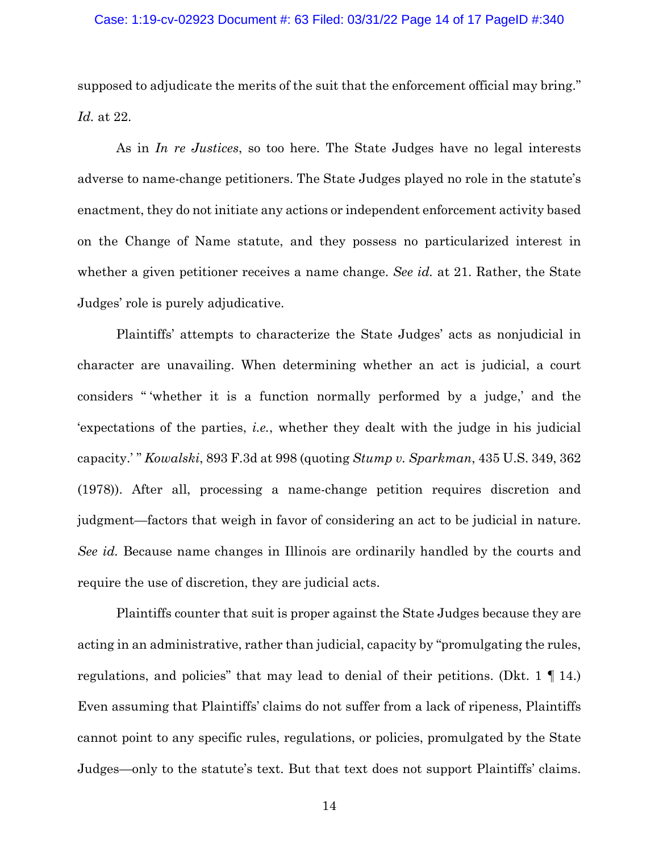### Case: 1:19-cv-02923 Document #: 63 Filed: 03/31/22 Page 14 of 17 PageID #:340

supposed to adjudicate the merits of the suit that the enforcement official may bring." *Id.* at 22.

As in *In re Justices*, so too here. The State Judges have no legal interests adverse to name-change petitioners. The State Judges played no role in the statute's enactment, they do not initiate any actions or independent enforcement activity based on the Change of Name statute, and they possess no particularized interest in whether a given petitioner receives a name change. *See id.* at 21. Rather, the State Judges' role is purely adjudicative.

Plaintiffs' attempts to characterize the State Judges' acts as nonjudicial in character are unavailing. When determining whether an act is judicial, a court considers " 'whether it is a function normally performed by a judge,' and the 'expectations of the parties, *i.e.*, whether they dealt with the judge in his judicial capacity.' " *Kowalski*, 893 F.3d at 998 (quoting *Stump v. Sparkman*, 435 U.S. 349, 362 (1978)). After all, processing a name-change petition requires discretion and judgment—factors that weigh in favor of considering an act to be judicial in nature. *See id.* Because name changes in Illinois are ordinarily handled by the courts and require the use of discretion, they are judicial acts.

Plaintiffs counter that suit is proper against the State Judges because they are acting in an administrative, rather than judicial, capacity by "promulgating the rules, regulations, and policies" that may lead to denial of their petitions. (Dkt. 1 ¶ 14.) Even assuming that Plaintiffs' claims do not suffer from a lack of ripeness, Plaintiffs cannot point to any specific rules, regulations, or policies, promulgated by the State Judges—only to the statute's text. But that text does not support Plaintiffs' claims.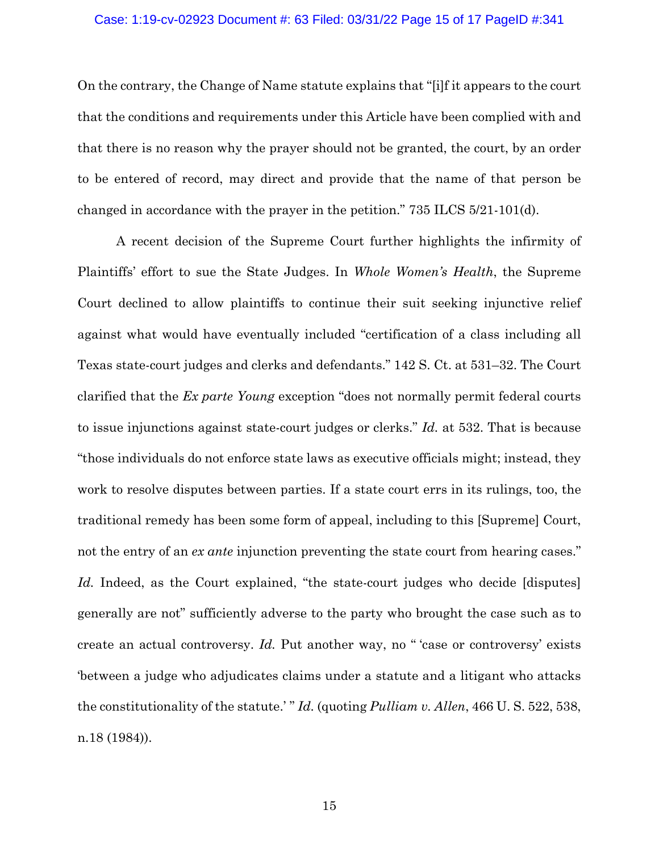### Case: 1:19-cv-02923 Document #: 63 Filed: 03/31/22 Page 15 of 17 PageID #:341

On the contrary, the Change of Name statute explains that "[i]f it appears to the court that the conditions and requirements under this Article have been complied with and that there is no reason why the prayer should not be granted, the court, by an order to be entered of record, may direct and provide that the name of that person be changed in accordance with the prayer in the petition." 735 ILCS 5/21-101(d).

A recent decision of the Supreme Court further highlights the infirmity of Plaintiffs' effort to sue the State Judges. In *Whole Women's Health*, the Supreme Court declined to allow plaintiffs to continue their suit seeking injunctive relief against what would have eventually included "certification of a class including all Texas state-court judges and clerks and defendants." 142 S. Ct. at 531–32. The Court clarified that the *Ex parte Young* exception "does not normally permit federal courts to issue injunctions against state-court judges or clerks." *Id.* at 532. That is because "those individuals do not enforce state laws as executive officials might; instead, they work to resolve disputes between parties. If a state court errs in its rulings, too, the traditional remedy has been some form of appeal, including to this [Supreme] Court, not the entry of an *ex ante* injunction preventing the state court from hearing cases." Id. Indeed, as the Court explained, "the state-court judges who decide [disputes] generally are not" sufficiently adverse to the party who brought the case such as to create an actual controversy. *Id.* Put another way, no " 'case or controversy' exists 'between a judge who adjudicates claims under a statute and a litigant who attacks the constitutionality of the statute.' " *Id.* (quoting *Pulliam v. Allen*, 466 U. S. 522, 538, n.18 (1984)).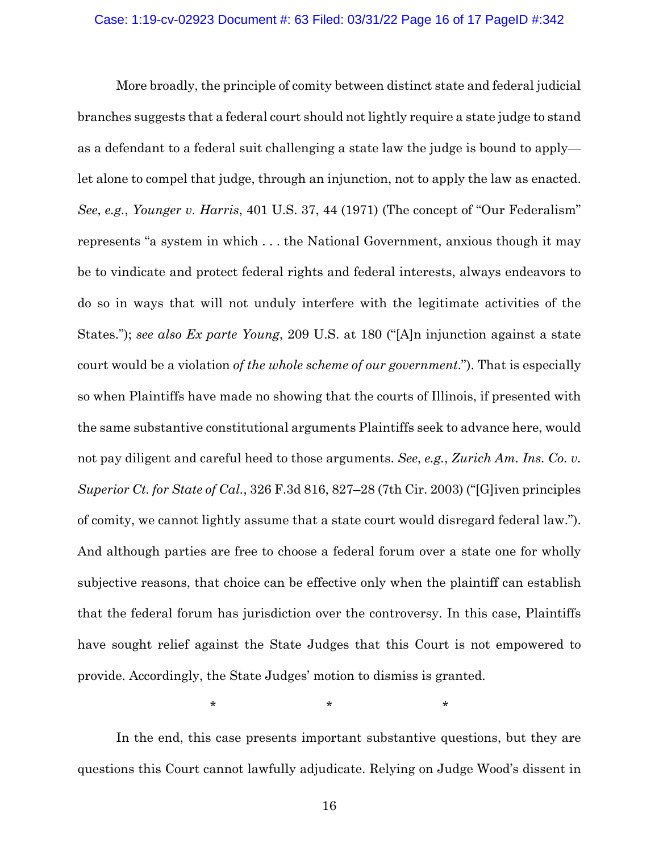More broadly, the principle of comity between distinct state and federal judicial branches suggests that a federal court should not lightly require a state judge to stand as a defendant to a federal suit challenging a state law the judge is bound to apply let alone to compel that judge, through an injunction, not to apply the law as enacted. *See*, *e.g.*, *Younger v. Harris*, 401 U.S. 37, 44 (1971) (The concept of "Our Federalism" represents "a system in which . . . the National Government, anxious though it may be to vindicate and protect federal rights and federal interests, always endeavors to do so in ways that will not unduly interfere with the legitimate activities of the States."); *see also Ex parte Young*, 209 U.S. at 180 ("[A]n injunction against a state court would be a violation *of the whole scheme of our government*."). That is especially so when Plaintiffs have made no showing that the courts of Illinois, if presented with the same substantive constitutional arguments Plaintiffs seek to advance here, would not pay diligent and careful heed to those arguments. *See*, *e.g.*, *Zurich Am. Ins. Co. v. Superior Ct. for State of Cal.*, 326 F.3d 816, 827–28 (7th Cir. 2003) ("[G]iven principles of comity, we cannot lightly assume that a state court would disregard federal law."). And although parties are free to choose a federal forum over a state one for wholly subjective reasons, that choice can be effective only when the plaintiff can establish that the federal forum has jurisdiction over the controversy. In this case, Plaintiffs have sought relief against the State Judges that this Court is not empowered to provide. Accordingly, the State Judges' motion to dismiss is granted.

 $\star$  \*  $\star$  \*  $\star$ 

In the end, this case presents important substantive questions, but they are questions this Court cannot lawfully adjudicate. Relying on Judge Wood's dissent in